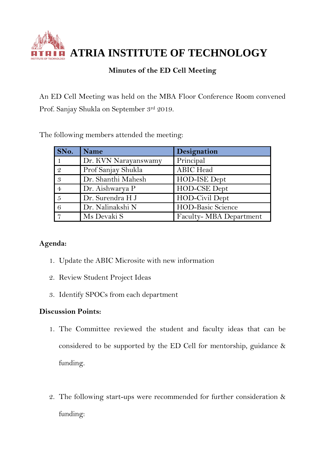**ATRIA INSTITUTE OF TECHNOLOGY**

## **Minutes of the ED Cell Meeting**

An ED Cell Meeting was held on the MBA Floor Conference Room convened Prof. Sanjay Shukla on September 3rd 2019.

The following members attended the meeting:

| SNo. | <b>Name</b>          | Designation              |
|------|----------------------|--------------------------|
|      | Dr. KVN Narayanswamy | Principal                |
|      | Prof Sanjay Shukla   | <b>ABIC</b> Head         |
| -3   | Dr. Shanthi Mahesh   | HOD-ISE Dept             |
|      | Dr. Aishwarya P      | HOD-CSE Dept             |
| -5   | Dr. Surendra H J     | HOD-Civil Dept           |
|      | Dr. Nalinakshi N     | <b>HOD-Basic Science</b> |
|      | Ms Devaki S          | Faculty- MBA Department  |

## **Agenda:**

- 1. Update the ABIC Microsite with new information
- 2. Review Student Project Ideas
- 3. Identify SPOCs from each department

## **Discussion Points:**

- 1. The Committee reviewed the student and faculty ideas that can be considered to be supported by the ED Cell for mentorship, guidance & funding.
- 2. The following start-ups were recommended for further consideration & funding: